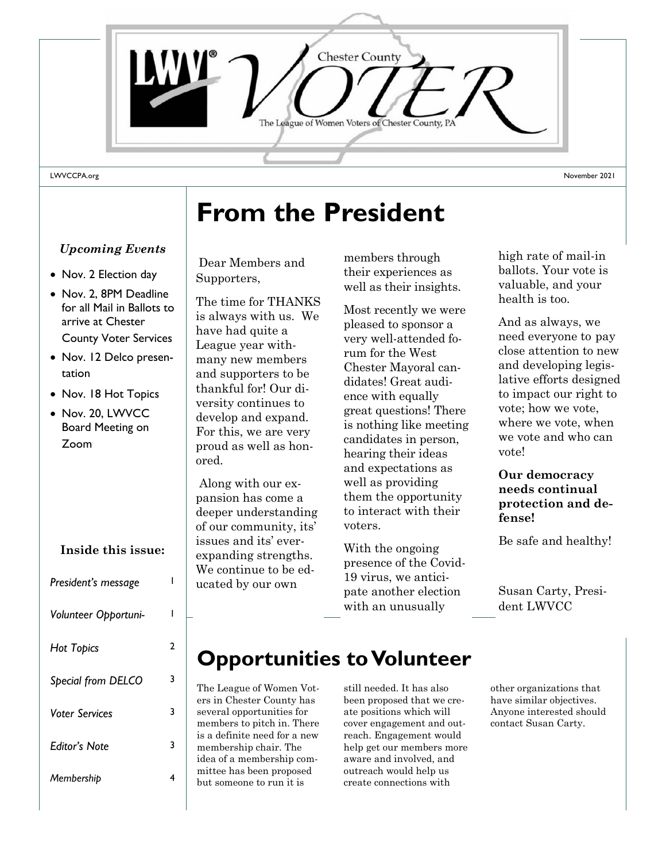

# **From the President**

### *Upcoming Events*

- Nov. 2 Election day
- Nov. 2, 8PM Deadline for all Mail in Ballots to arrive at Chester County Voter Services
- Nov. 12 Delco presentation
- Nov. 18 Hot Topics
- Nov. 20, LWVCC Board Meeting on Zoom

# **President's message** 1 *Volunteer Opportuni-* 1 *Hot Topics* 2 *Special from DELCO* 3 *Voter Services* 3 *Editor's Note* 3 *Membership* 4 **Inside this issue:**

## Dear Members and Supporters,

The time for THANKS is always with us. We have had quite a League year withmany new members and supporters to be thankful for! Our diversity continues to develop and expand. For this, we are very proud as well as honored.

Along with our expansion has come a deeper understanding of our community, its' issues and its' everexpanding strengths. We continue to be educated by our own

their experiences as well as their insights. members through

Most recently we were pleased to sponsor a rum for the West rum for the West Chester Mayoral Chester Mayoral candidates! Great audi- $\frac{1}{2}$  ence with equally great questions: There<br>is nothing like meeting candidates in person, hearing their ideas and expectations as  $\lbrack \ \ldots \rbrack$ them the opportunity to interact with their another election revery well-attended fogreat questions! There well as providing voters.

With the ongoing presence of the Covid-19 virus, we anticipate another election with an unusually

high rate of mail-in ballots. Your vote is valuable, and your health is too.

And as always, we need everyone to pay close attention to new and developing legislative efforts designed to impact our right to vote; how we vote, where we vote, when we vote and who can vote!

#### **Our democracy needs continual protection and defense!**

Be safe and healthy!

Susan Carty, President LWVCC

## **Opportunities to Volunteer**

The League of Women Voters in Chester County has several opportunities for members to pitch in. There is a definite need for a new membership chair. The idea of a membership committee has been proposed but someone to run it is

still needed. It has also been proposed that we create positions which will cover engagement and outreach. Engagement would help get our members more aware and involved, and outreach would help us create connections with

other organizations that have similar objectives. Anyone interested should contact Susan Carty.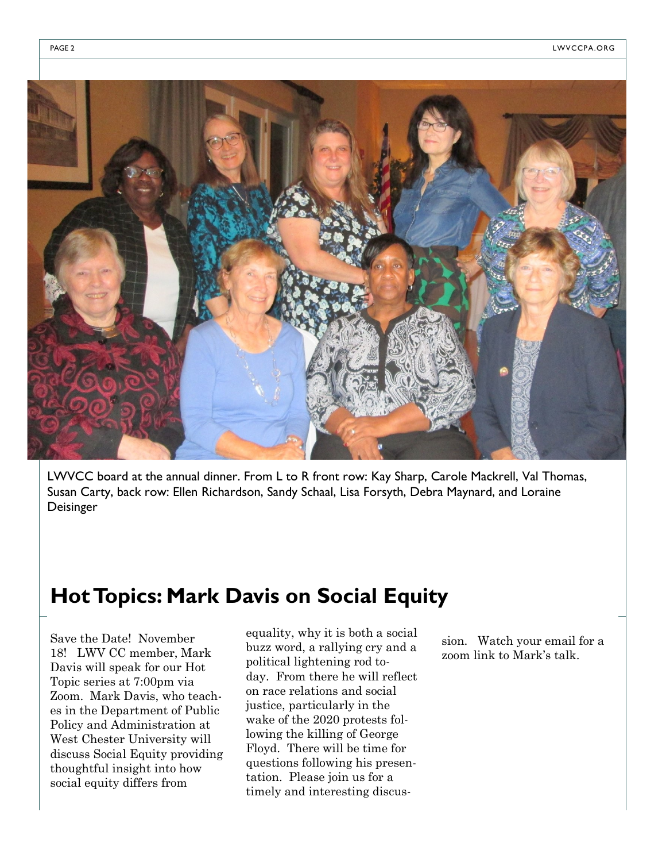

LWVCC board at the annual dinner. From L to R front row: Kay Sharp, Carole Mackrell, Val Thomas, Susan Carty, back row: Ellen Richardson, Sandy Schaal, Lisa Forsyth, Debra Maynard, and Loraine Deisinger

## **Hot Topics: Mark Davis on Social Equity**

Save the Date! November 18! LWV CC member, Mark Davis will speak for our Hot Topic series at 7:00pm via Zoom. Mark Davis, who teaches in the Department of Public Policy and Administration at West Chester University will discuss Social Equity providing thoughtful insight into how social equity differs from

equality, why it is both a social buzz word, a rallying cry and a political lightening rod today. From there he will reflect on race relations and social justice, particularly in the wake of the 2020 protests following the killing of George Floyd. There will be time for questions following his presentation. Please join us for a timely and interesting discus-

sion. Watch your email for a zoom link to Mark's talk.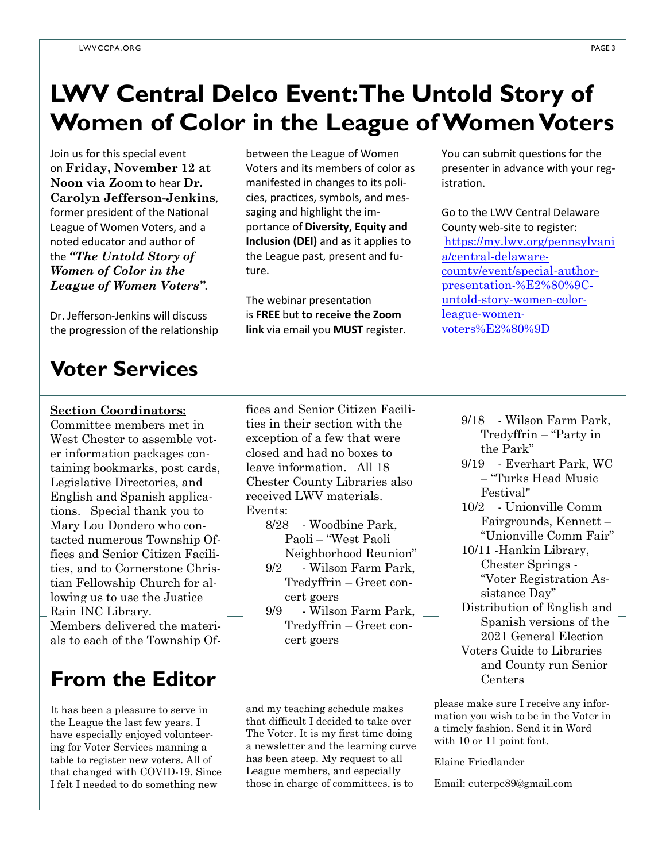## **LWV Central Delco Event: The Untold Story of Women of Color in the League of Women Voters**

Join us for this special event on **Friday, November 12 at Noon via Zoom** to hear **Dr. Carolyn Jefferson-Jenkins**, former president of the National League of Women Voters, and a noted educator and author of the *"The Untold Story of Women of Color in the League of Women Voters"*.

Dr. Jefferson-Jenkins will discuss the progression of the relationship between the League of Women Voters and its members of color as manifested in changes to its policies, practices, symbols, and messaging and highlight the importance of **Diversity, Equity and Inclusion (DEI)** and as it applies to the League past, present and future.

The webinar presentation is **FREE** but **to receive the Zoom link** via email you **MUST** register. You can submit questions for the presenter in advance with your registration.

Go to the LWV Central Delaware County web-site to register: [https://my.lwv.org/pennsylvani](https://my.lwv.org/pennsylvania/central-delaware-county/event/special-author-presentation-%E2%80%9C-untold-story-women-color-league-women-voters%E2%80%9D) [a/central-delaware](https://my.lwv.org/pennsylvania/central-delaware-county/event/special-author-presentation-%E2%80%9C-untold-story-women-color-league-women-voters%E2%80%9D)[county/event/special-author](https://my.lwv.org/pennsylvania/central-delaware-county/event/special-author-presentation-%E2%80%9C-untold-story-women-color-league-women-voters%E2%80%9D)[presentation-%E2%80%9C](https://my.lwv.org/pennsylvania/central-delaware-county/event/special-author-presentation-%E2%80%9C-untold-story-women-color-league-women-voters%E2%80%9D)[untold-story-women-color](https://my.lwv.org/pennsylvania/central-delaware-county/event/special-author-presentation-%E2%80%9C-untold-story-women-color-league-women-voters%E2%80%9D)[league-women](https://my.lwv.org/pennsylvania/central-delaware-county/event/special-author-presentation-%E2%80%9C-untold-story-women-color-league-women-voters%E2%80%9D)[voters%E2%80%9D](https://my.lwv.org/pennsylvania/central-delaware-county/event/special-author-presentation-%E2%80%9C-untold-story-women-color-league-women-voters%E2%80%9D)

## **Voter Services**

#### **Section Coordinators:**

Committee members met in West Chester to assemble voter information packages containing bookmarks, post cards, Legislative Directories, and English and Spanish applications. Special thank you to Mary Lou Dondero who contacted numerous Township Offices and Senior Citizen Facilities, and to Cornerstone Christian Fellowship Church for allowing us to use the Justice Rain INC Library.

Members delivered the materials to each of the Township Of-

## **From the Editor**

It has been a pleasure to serve in the League the last few years. I have especially enjoyed volunteering for Voter Services manning a table to register new voters. All of that changed with COVID-19. Since I felt I needed to do something new

fices and Senior Citizen Facilities in their section with the exception of a few that were closed and had no boxes to leave information. All 18 Chester County Libraries also received LWV materials. Events:

> 8/28 - Woodbine Park, Paoli – "West Paoli Neighborhood Reunion"

- 9/2 Wilson Farm Park, Tredyffrin – Greet concert goers
- 9/9 Wilson Farm Park, Tredyffrin – Greet concert goers

and my teaching schedule makes that difficult I decided to take over The Voter. It is my first time doing a newsletter and the learning curve has been steep. My request to all League members, and especially those in charge of committees, is to

- 9/18 Wilson Farm Park, Tredyffrin – "Party in the Park"
- 9/19 Everhart Park, WC – "Turks Head Music Festival"
- 10/2 Unionville Comm Fairgrounds, Kennett – "Unionville Comm Fair"
- 10/11 -Hankin Library, Chester Springs - "Voter Registration Assistance Day"
- Distribution of English and Spanish versions of the 2021 General Election Voters Guide to Libraries and County run Senior

please make sure I receive any information you wish to be in the Voter in a timely fashion. Send it in Word with 10 or 11 point font.

#### Elaine Friedlander

Email: euterpe89@gmail.com

Centers